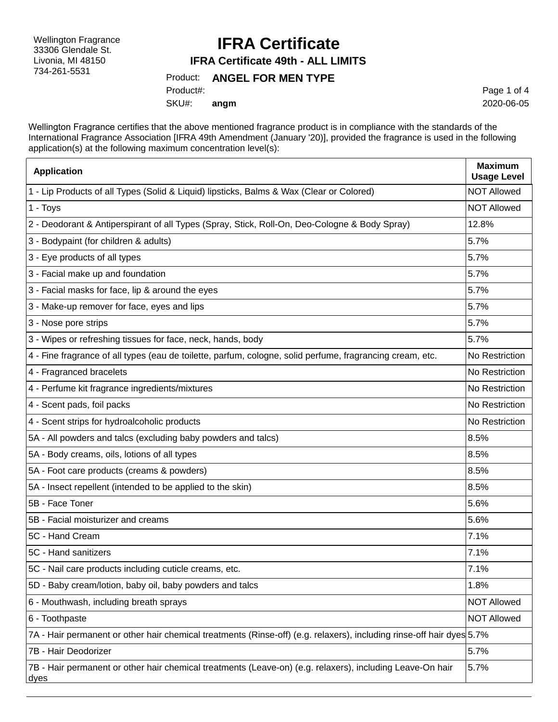Wellington Fragrance 33306 Glendale St. Livonia, MI 48150 734-261-5531

### **IFRA Certificate**

**IFRA Certificate 49th - ALL LIMITS**

#### Product: **ANGEL FOR MEN TYPE**

SKU#: Product#: **angm** Page 1 of 4 2020-06-05

Wellington Fragrance certifies that the above mentioned fragrance product is in compliance with the standards of the International Fragrance Association [IFRA 49th Amendment (January '20)], provided the fragrance is used in the following application(s) at the following maximum concentration level(s):

| <b>Application</b>                                                                                                    | <b>Maximum</b><br><b>Usage Level</b> |
|-----------------------------------------------------------------------------------------------------------------------|--------------------------------------|
| 1 - Lip Products of all Types (Solid & Liquid) lipsticks, Balms & Wax (Clear or Colored)                              | <b>NOT Allowed</b>                   |
| 1 - Toys                                                                                                              | <b>NOT Allowed</b>                   |
| 2 - Deodorant & Antiperspirant of all Types (Spray, Stick, Roll-On, Deo-Cologne & Body Spray)                         | 12.8%                                |
| 3 - Bodypaint (for children & adults)                                                                                 | 5.7%                                 |
| 3 - Eye products of all types                                                                                         | 5.7%                                 |
| 3 - Facial make up and foundation                                                                                     | 5.7%                                 |
| 3 - Facial masks for face, lip & around the eyes                                                                      | 5.7%                                 |
| 3 - Make-up remover for face, eyes and lips                                                                           | 5.7%                                 |
| 3 - Nose pore strips                                                                                                  | 5.7%                                 |
| 3 - Wipes or refreshing tissues for face, neck, hands, body                                                           | 5.7%                                 |
| 4 - Fine fragrance of all types (eau de toilette, parfum, cologne, solid perfume, fragrancing cream, etc.             | No Restriction                       |
| 4 - Fragranced bracelets                                                                                              | No Restriction                       |
| 4 - Perfume kit fragrance ingredients/mixtures                                                                        | No Restriction                       |
| 4 - Scent pads, foil packs                                                                                            | No Restriction                       |
| 4 - Scent strips for hydroalcoholic products                                                                          | No Restriction                       |
| 5A - All powders and talcs (excluding baby powders and talcs)                                                         | 8.5%                                 |
| 5A - Body creams, oils, lotions of all types                                                                          | 8.5%                                 |
| 5A - Foot care products (creams & powders)                                                                            | 8.5%                                 |
| 5A - Insect repellent (intended to be applied to the skin)                                                            | 8.5%                                 |
| 5B - Face Toner                                                                                                       | 5.6%                                 |
| 5B - Facial moisturizer and creams                                                                                    | 5.6%                                 |
| 5C - Hand Cream                                                                                                       | 7.1%                                 |
| 5C - Hand sanitizers                                                                                                  | 7.1%                                 |
| 5C - Nail care products including cuticle creams, etc.                                                                | 7.1%                                 |
| 5D - Baby cream/lotion, baby oil, baby powders and talcs                                                              | 1.8%                                 |
| 6 - Mouthwash, including breath sprays                                                                                | <b>NOT Allowed</b>                   |
| 6 - Toothpaste                                                                                                        | <b>NOT Allowed</b>                   |
| 7A - Hair permanent or other hair chemical treatments (Rinse-off) (e.g. relaxers), including rinse-off hair dyes 5.7% |                                      |
| 7B - Hair Deodorizer                                                                                                  | 5.7%                                 |
| 7B - Hair permanent or other hair chemical treatments (Leave-on) (e.g. relaxers), including Leave-On hair<br>dyes     | 5.7%                                 |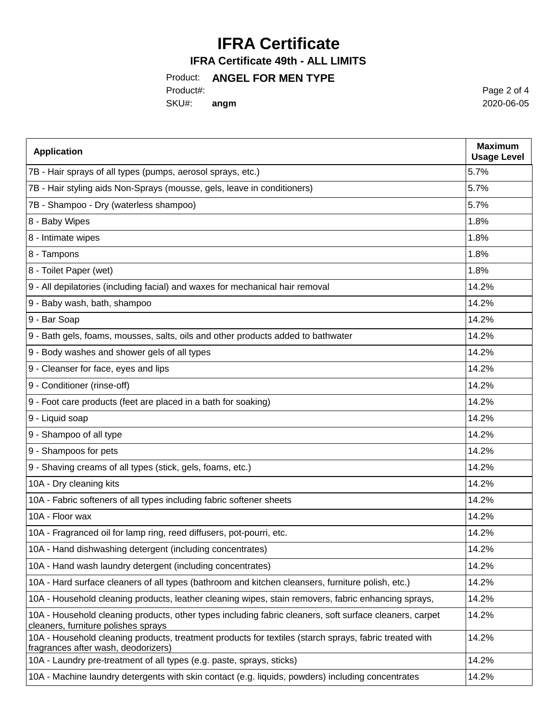# **IFRA Certificate**

**IFRA Certificate 49th - ALL LIMITS**

### Product: **ANGEL FOR MEN TYPE**

Product#:

SKU#: **angm**

Page 2 of 4 2020-06-05

| <b>Application</b>                                                                                                                             | <b>Maximum</b><br><b>Usage Level</b> |
|------------------------------------------------------------------------------------------------------------------------------------------------|--------------------------------------|
| 7B - Hair sprays of all types (pumps, aerosol sprays, etc.)                                                                                    | 5.7%                                 |
| 7B - Hair styling aids Non-Sprays (mousse, gels, leave in conditioners)                                                                        | 5.7%                                 |
| 7B - Shampoo - Dry (waterless shampoo)                                                                                                         | 5.7%                                 |
| 8 - Baby Wipes                                                                                                                                 | 1.8%                                 |
| 8 - Intimate wipes                                                                                                                             | 1.8%                                 |
| 8 - Tampons                                                                                                                                    | 1.8%                                 |
| 8 - Toilet Paper (wet)                                                                                                                         | 1.8%                                 |
| 9 - All depilatories (including facial) and waxes for mechanical hair removal                                                                  | 14.2%                                |
| 9 - Baby wash, bath, shampoo                                                                                                                   | 14.2%                                |
| 9 - Bar Soap                                                                                                                                   | 14.2%                                |
| 9 - Bath gels, foams, mousses, salts, oils and other products added to bathwater                                                               | 14.2%                                |
| 9 - Body washes and shower gels of all types                                                                                                   | 14.2%                                |
| 9 - Cleanser for face, eyes and lips                                                                                                           | 14.2%                                |
| 9 - Conditioner (rinse-off)                                                                                                                    | 14.2%                                |
| 9 - Foot care products (feet are placed in a bath for soaking)                                                                                 | 14.2%                                |
| 9 - Liquid soap                                                                                                                                | 14.2%                                |
| 9 - Shampoo of all type                                                                                                                        | 14.2%                                |
| 9 - Shampoos for pets                                                                                                                          | 14.2%                                |
| 9 - Shaving creams of all types (stick, gels, foams, etc.)                                                                                     | 14.2%                                |
| 10A - Dry cleaning kits                                                                                                                        | 14.2%                                |
| 10A - Fabric softeners of all types including fabric softener sheets                                                                           | 14.2%                                |
| 10A - Floor wax                                                                                                                                | 14.2%                                |
| 10A - Fragranced oil for lamp ring, reed diffusers, pot-pourri, etc.                                                                           | 14.2%                                |
| 10A - Hand dishwashing detergent (including concentrates)                                                                                      | 14.2%                                |
| 10A - Hand wash laundry detergent (including concentrates)                                                                                     | 14.2%                                |
| 10A - Hard surface cleaners of all types (bathroom and kitchen cleansers, furniture polish, etc.)                                              | 14.2%                                |
| 10A - Household cleaning products, leather cleaning wipes, stain removers, fabric enhancing sprays,                                            | 14.2%                                |
| 10A - Household cleaning products, other types including fabric cleaners, soft surface cleaners, carpet<br>cleaners, furniture polishes sprays | 14.2%                                |
| 10A - Household cleaning products, treatment products for textiles (starch sprays, fabric treated with<br>fragrances after wash, deodorizers)  | 14.2%                                |
| 10A - Laundry pre-treatment of all types (e.g. paste, sprays, sticks)                                                                          | 14.2%                                |
| 10A - Machine laundry detergents with skin contact (e.g. liquids, powders) including concentrates                                              | 14.2%                                |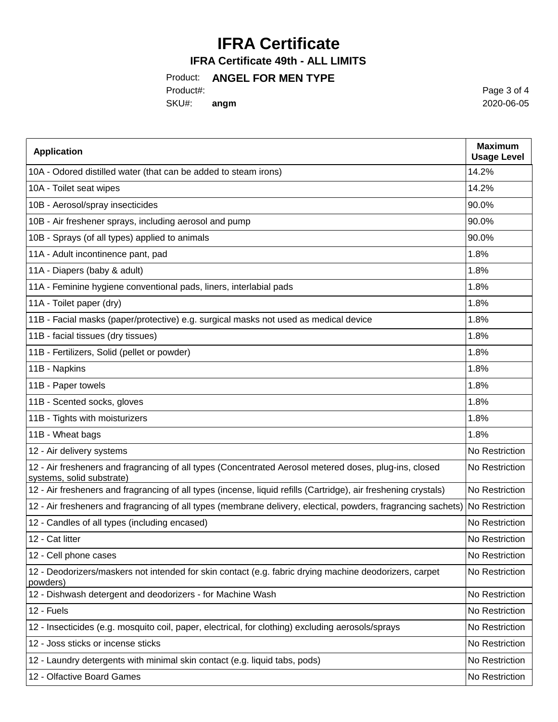# **IFRA Certificate**

### **IFRA Certificate 49th - ALL LIMITS**

### Product: **ANGEL FOR MEN TYPE**

Product#:

SKU#: **angm**

Page 3 of 4 2020-06-05

| <b>Application</b>                                                                                                                  | <b>Maximum</b><br><b>Usage Level</b> |
|-------------------------------------------------------------------------------------------------------------------------------------|--------------------------------------|
| 10A - Odored distilled water (that can be added to steam irons)                                                                     | 14.2%                                |
| 10A - Toilet seat wipes                                                                                                             | 14.2%                                |
| 10B - Aerosol/spray insecticides                                                                                                    | 90.0%                                |
| 10B - Air freshener sprays, including aerosol and pump                                                                              | 90.0%                                |
| 10B - Sprays (of all types) applied to animals                                                                                      | 90.0%                                |
| 11A - Adult incontinence pant, pad                                                                                                  | 1.8%                                 |
| 11A - Diapers (baby & adult)                                                                                                        | 1.8%                                 |
| 11A - Feminine hygiene conventional pads, liners, interlabial pads                                                                  | 1.8%                                 |
| 11A - Toilet paper (dry)                                                                                                            | 1.8%                                 |
| 11B - Facial masks (paper/protective) e.g. surgical masks not used as medical device                                                | 1.8%                                 |
| 11B - facial tissues (dry tissues)                                                                                                  | 1.8%                                 |
| 11B - Fertilizers, Solid (pellet or powder)                                                                                         | 1.8%                                 |
| 11B - Napkins                                                                                                                       | 1.8%                                 |
| 11B - Paper towels                                                                                                                  | 1.8%                                 |
| 11B - Scented socks, gloves                                                                                                         | 1.8%                                 |
| 11B - Tights with moisturizers                                                                                                      | 1.8%                                 |
| 11B - Wheat bags                                                                                                                    | 1.8%                                 |
| 12 - Air delivery systems                                                                                                           | No Restriction                       |
| 12 - Air fresheners and fragrancing of all types (Concentrated Aerosol metered doses, plug-ins, closed<br>systems, solid substrate) | No Restriction                       |
| 12 - Air fresheners and fragrancing of all types (incense, liquid refills (Cartridge), air freshening crystals)                     | No Restriction                       |
| 12 - Air fresheners and fragrancing of all types (membrane delivery, electical, powders, fragrancing sachets)                       | No Restriction                       |
| 12 - Candles of all types (including encased)                                                                                       | No Restriction                       |
| 12 - Cat litter                                                                                                                     | No Restriction                       |
| 12 - Cell phone cases                                                                                                               | No Restriction                       |
| 12 - Deodorizers/maskers not intended for skin contact (e.g. fabric drying machine deodorizers, carpet<br>powders)                  | No Restriction                       |
| 12 - Dishwash detergent and deodorizers - for Machine Wash                                                                          | No Restriction                       |
| 12 - Fuels                                                                                                                          | No Restriction                       |
| 12 - Insecticides (e.g. mosquito coil, paper, electrical, for clothing) excluding aerosols/sprays                                   | No Restriction                       |
| 12 - Joss sticks or incense sticks                                                                                                  | No Restriction                       |
| 12 - Laundry detergents with minimal skin contact (e.g. liquid tabs, pods)                                                          | No Restriction                       |
| 12 - Olfactive Board Games                                                                                                          | No Restriction                       |